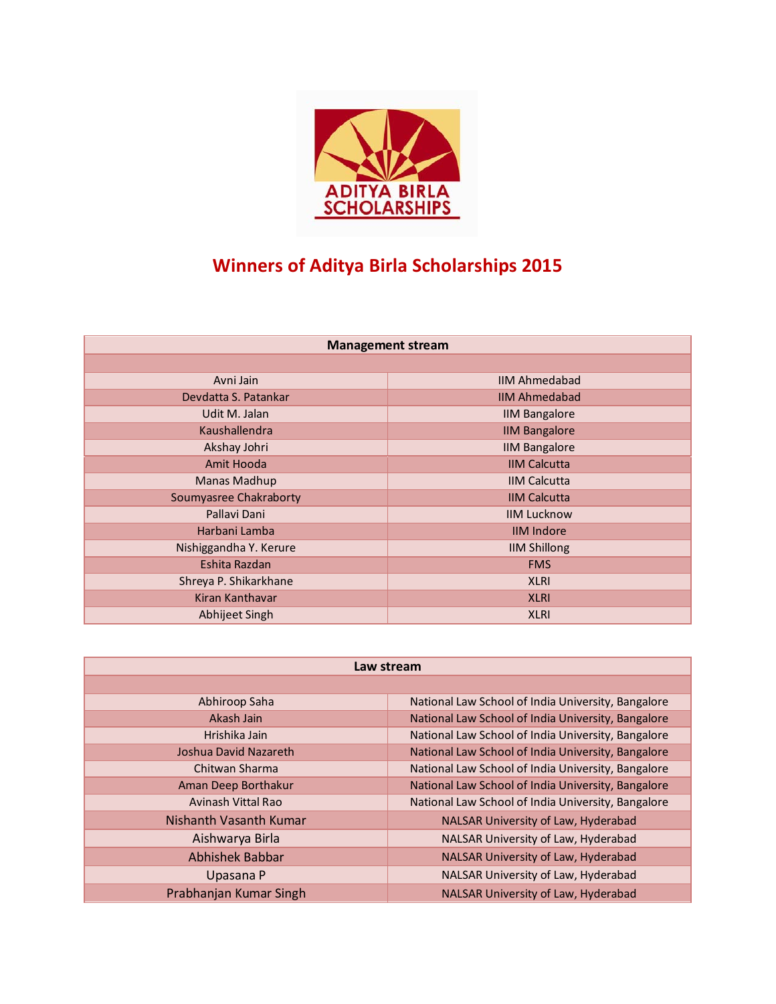

## **Winners of Aditya Birla Scholarships 2015**

| <b>Management stream</b> |  |
|--------------------------|--|
|--------------------------|--|

| Avni Jain              | <b>IIM Ahmedabad</b> |
|------------------------|----------------------|
| Devdatta S. Patankar   | <b>IIM Ahmedabad</b> |
| Udit M. Jalan          | <b>IIM Bangalore</b> |
| Kaushallendra          | <b>IIM Bangalore</b> |
| Akshay Johri           | <b>IIM Bangalore</b> |
| Amit Hooda             | <b>IIM Calcutta</b>  |
| Manas Madhup           | <b>IIM Calcutta</b>  |
| Soumyasree Chakraborty | <b>IIM Calcutta</b>  |
| Pallavi Dani           | <b>IIM Lucknow</b>   |
| Harbani Lamba          | <b>IIM Indore</b>    |
| Nishiggandha Y. Kerure | <b>IIM Shillong</b>  |
| Eshita Razdan          | <b>FMS</b>           |
| Shreya P. Shikarkhane  | <b>XLRI</b>          |
| Kiran Kanthavar        | <b>XLRI</b>          |
| Abhijeet Singh         | <b>XLRI</b>          |

| Law stream             |                                                    |  |
|------------------------|----------------------------------------------------|--|
|                        |                                                    |  |
| Abhiroop Saha          | National Law School of India University, Bangalore |  |
| Akash Jain             | National Law School of India University, Bangalore |  |
| Hrishika Jain          | National Law School of India University, Bangalore |  |
| Joshua David Nazareth  | National Law School of India University, Bangalore |  |
| Chitwan Sharma         | National Law School of India University, Bangalore |  |
| Aman Deep Borthakur    | National Law School of India University, Bangalore |  |
| Avinash Vittal Rao     | National Law School of India University, Bangalore |  |
| Nishanth Vasanth Kumar | NALSAR University of Law, Hyderabad                |  |
| Aishwarya Birla        | NALSAR University of Law, Hyderabad                |  |
| <b>Abhishek Babbar</b> | NALSAR University of Law, Hyderabad                |  |
| Upasana P              | NALSAR University of Law, Hyderabad                |  |
| Prabhanjan Kumar Singh | NALSAR University of Law, Hyderabad                |  |